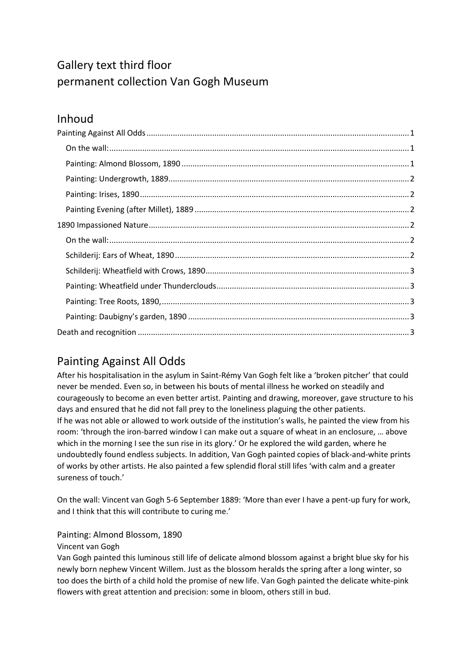# Gallery text third floor permanent collection Van Gogh Museum

## Inhoud

# <span id="page-0-0"></span>Painting Against All Odds

After his hospitalisation in the asylum in Saint-Rémy Van Gogh felt like a 'broken pitcher' that could never be mended. Even so, in between his bouts of mental illness he worked on steadily and courageously to become an even better artist. Painting and drawing, moreover, gave structure to his days and ensured that he did not fall prey to the loneliness plaguing the other patients. If he was not able or allowed to work outside of the institution's walls, he painted the view from his room: 'through the iron-barred window I can make out a square of wheat in an enclosure, … above which in the morning I see the sun rise in its glory.' Or he explored the wild garden, where he undoubtedly found endless subjects. In addition, Van Gogh painted copies of black-and-white prints of works by other artists. He also painted a few splendid floral still lifes 'with calm and a greater sureness of touch.'

<span id="page-0-1"></span>On the wall: Vincent van Gogh 5-6 September 1889: 'More than ever I have a pent-up fury for work, and I think that this will contribute to curing me.'

## <span id="page-0-2"></span>Painting: Almond Blossom, 1890

## Vincent van Gogh

<span id="page-0-3"></span>Van Gogh painted this luminous still life of delicate almond blossom against a bright blue sky for his newly born nephew Vincent Willem. Just as the blossom heralds the spring after a long winter, so too does the birth of a child hold the promise of new life. Van Gogh painted the delicate white-pink flowers with great attention and precision: some in bloom, others still in bud.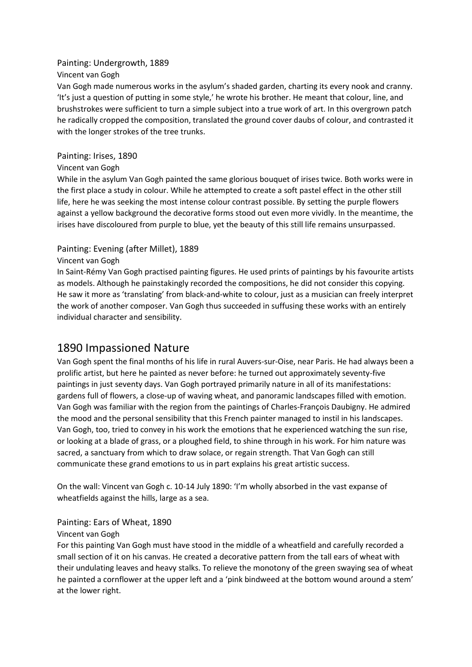#### Painting: Undergrowth, 1889

Vincent van Gogh

Van Gogh made numerous works in the asylum's shaded garden, charting its every nook and cranny. 'It's just a question of putting in some style,' he wrote his brother. He meant that colour, line, and brushstrokes were sufficient to turn a simple subject into a true work of art. In this overgrown patch he radically cropped the composition, translated the ground cover daubs of colour, and contrasted it with the longer strokes of the tree trunks.

#### <span id="page-1-0"></span>Painting: Irises, 1890

#### Vincent van Gogh

While in the asylum Van Gogh painted the same glorious bouquet of irises twice. Both works were in the first place a study in colour. While he attempted to create a soft pastel effect in the other still life, here he was seeking the most intense colour contrast possible. By setting the purple flowers against a yellow background the decorative forms stood out even more vividly. In the meantime, the irises have discoloured from purple to blue, yet the beauty of this still life remains unsurpassed.

## <span id="page-1-1"></span>Painting: Evening (after Millet), 1889

#### Vincent van Gogh

In Saint-Rémy Van Gogh practised painting figures. He used prints of paintings by his favourite artists as models. Although he painstakingly recorded the compositions, he did not consider this copying. He saw it more as 'translating' from black-and-white to colour, just as a musician can freely interpret the work of another composer. Van Gogh thus succeeded in suffusing these works with an entirely individual character and sensibility.

## <span id="page-1-2"></span>1890 Impassioned Nature

Van Gogh spent the final months of his life in rural Auvers-sur-Oise, near Paris. He had always been a prolific artist, but here he painted as never before: he turned out approximately seventy-five paintings in just seventy days. Van Gogh portrayed primarily nature in all of its manifestations: gardens full of flowers, a close-up of waving wheat, and panoramic landscapes filled with emotion. Van Gogh was familiar with the region from the paintings of Charles-François Daubigny. He admired the mood and the personal sensibility that this French painter managed to instil in his landscapes. Van Gogh, too, tried to convey in his work the emotions that he experienced watching the sun rise, or looking at a blade of grass, or a ploughed field, to shine through in his work. For him nature was sacred, a sanctuary from which to draw solace, or regain strength. That Van Gogh can still communicate these grand emotions to us in part explains his great artistic success.

<span id="page-1-3"></span>On the wall: Vincent van Gogh c. 10-14 July 1890: 'I'm wholly absorbed in the vast expanse of wheatfields against the hills, large as a sea.

#### <span id="page-1-4"></span>Painting: Ears of Wheat, 1890

#### Vincent van Gogh

For this painting Van Gogh must have stood in the middle of a wheatfield and carefully recorded a small section of it on his canvas. He created a decorative pattern from the tall ears of wheat with their undulating leaves and heavy stalks. To relieve the monotony of the green swaying sea of wheat he painted a cornflower at the upper left and a 'pink bindweed at the bottom wound around a stem' at the lower right.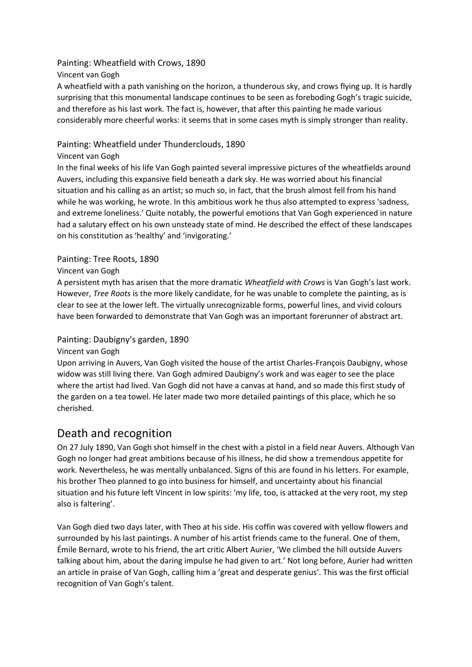#### <span id="page-2-0"></span>Painting: Wheatfield with Crows, 1890

Vincent van Gogh

A wheatfield with a path vanishing on the horizon, a thunderous sky, and crows flying up. It is hardly surprising that this monumental landscape continues to be seen as foreboding Gogh's tragic suicide, and therefore as his last work. The fact is, however, that after this painting he made various considerably more cheerful works: it seems that in some cases myth is simply stronger than reality.

## <span id="page-2-1"></span>Painting: Wheatfield under Thunderclouds, 1890

#### Vincent van Gogh

In the final weeks of his life Van Gogh painted several impressive pictures of the wheatfields around Auvers, including this expansive field beneath a dark sky. He was worried about his financial situation and his calling as an artist; so much so, in fact, that the brush almost fell from his hand while he was working, he wrote. In this ambitious work he thus also attempted to express 'sadness, and extreme loneliness.' Quite notably, the powerful emotions that Van Gogh experienced in nature had a salutary effect on his own unsteady state of mind. He described the effect of these landscapes on his constitution as 'healthy' and 'invigorating.'

#### <span id="page-2-2"></span>Painting: Tree Roots, 1890

#### Vincent van Gogh

A persistent myth has arisen that the more dramatic *Wheatfield with Crows* is Van Gogh's last work. However, *Tree Roots* is the more likely candidate, for he was unable to complete the painting, as is clear to see at the lower left. The virtually unrecognizable forms, powerful lines, and vivid colours have been forwarded to demonstrate that Van Gogh was an important forerunner of abstract art.

## <span id="page-2-3"></span>Painting: Daubigny's garden, 1890

#### Vincent van Gogh

Upon arriving in Auvers, Van Gogh visited the house of the artist Charles-François Daubigny, whose widow was still living there. Van Gogh admired Daubigny's work and was eager to see the place where the artist had lived. Van Gogh did not have a canvas at hand, and so made this first study of the garden on a tea towel. He later made two more detailed paintings of this place, which he so cherished.

## <span id="page-2-4"></span>Death and recognition

On 27 July 1890, Van Gogh shot himself in the chest with a pistol in a field near Auvers. Although Van Gogh no longer had great ambitions because of his illness, he did show a tremendous appetite for work. Nevertheless, he was mentally unbalanced. Signs of this are found in his letters. For example, his brother Theo planned to go into business for himself, and uncertainty about his financial situation and his future left Vincent in low spirits: 'my life, too, is attacked at the very root, my step also is faltering'.

Van Gogh died two days later, with Theo at his side. His coffin was covered with yellow flowers and surrounded by his last paintings. A number of his artist friends came to the funeral. One of them, Émile Bernard, wrote to his friend, the art critic Albert Aurier, 'We climbed the hill outside Auvers talking about him, about the daring impulse he had given to art.' Not long before, Aurier had written an article in praise of Van Gogh, calling him a 'great and desperate genius'. This was the first official recognition of Van Gogh's talent.